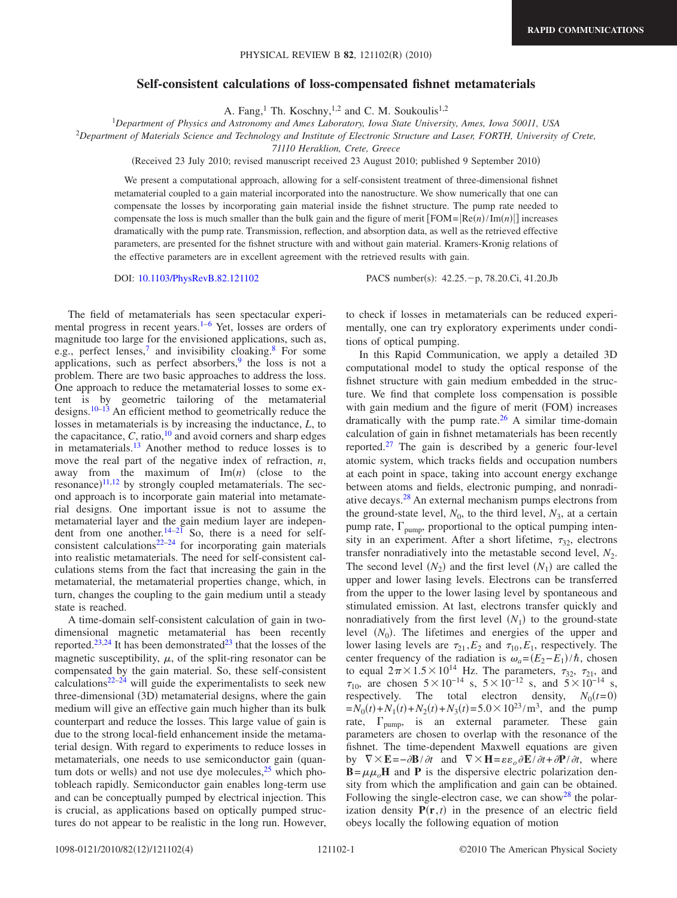## **Self-consistent calculations of loss-compensated fishnet metamaterials**

A. Fang,<sup>1</sup> Th. Koschny,<sup>1,2</sup> and C. M. Soukoulis<sup>1,2</sup>

1 *Department of Physics and Astronomy and Ames Laboratory, Iowa State University, Ames, Iowa 50011, USA*

2 *Department of Materials Science and Technology and Institute of Electronic Structure and Laser, FORTH, University of Crete,*

*71110 Heraklion, Crete, Greece*

(Received 23 July 2010; revised manuscript received 23 August 2010; published 9 September 2010)

We present a computational approach, allowing for a self-consistent treatment of three-dimensional fishnet metamaterial coupled to a gain material incorporated into the nanostructure. We show numerically that one can compensate the losses by incorporating gain material inside the fishnet structure. The pump rate needed to compensate the loss is much smaller than the bulk gain and the figure of merit  $[FOM = | Re(n)/Im(n)|]$  increases dramatically with the pump rate. Transmission, reflection, and absorption data, as well as the retrieved effective parameters, are presented for the fishnet structure with and without gain material. Kramers-Kronig relations of the effective parameters are in excellent agreement with the retrieved results with gain.

DOI: [10.1103/PhysRevB.82.121102](http://dx.doi.org/10.1103/PhysRevB.82.121102)

The field of metamaterials has seen spectacular experimental progress in recent years. $1-6$  Yet, losses are orders of magnitude too large for the envisioned applications, such as, e.g., perfect lenses,<sup>7</sup> and invisibility cloaking.<sup>8</sup> For some applications, such as perfect absorbers,  $\frac{9}{9}$  the loss is not a problem. There are two basic approaches to address the loss. One approach to reduce the metamaterial losses to some extent is by geometric tailoring of the metamaterial designs.<sup>10[–13](#page-3-6)</sup> An efficient method to geometrically reduce the losses in metamaterials is by increasing the inductance, *L*, to the capacitance,  $C$ , ratio,  $10$  and avoid corners and sharp edges in metamaterials[.13](#page-3-6) Another method to reduce losses is to move the real part of the negative index of refraction, *n*, away from the maximum of  $\text{Im}(n)$  (close to the resonance) $11,12$  $11,12$  by strongly coupled metamaterials. The second approach is to incorporate gain material into metamaterial designs. One important issue is not to assume the metamaterial layer and the gain medium layer are independent from one another. $14-21$  So, there is a need for selfconsistent calculations $22-24$  for incorporating gain materials into realistic metamaterials. The need for self-consistent calculations stems from the fact that increasing the gain in the metamaterial, the metamaterial properties change, which, in turn, changes the coupling to the gain medium until a steady state is reached.

A time-domain self-consistent calculation of gain in twodimensional magnetic metamaterial has been recently reported.<sup>23[,24](#page-3-12)</sup> It has been demonstrated<sup>23</sup> that the losses of the magnetic susceptibility,  $\mu$ , of the split-ring resonator can be compensated by the gain material. So, these self-consistent calculations $22-24$  $22-24$  will guide the experimentalists to seek new three-dimensional (3D) metamaterial designs, where the gain medium will give an effective gain much higher than its bulk counterpart and reduce the losses. This large value of gain is due to the strong local-field enhancement inside the metamaterial design. With regard to experiments to reduce losses in metamaterials, one needs to use semiconductor gain (quantum dots or wells) and not use dye molecules, $25$  which photobleach rapidly. Semiconductor gain enables long-term use and can be conceptually pumped by electrical injection. This is crucial, as applications based on optically pumped structures do not appear to be realistic in the long run. However,

PACS number(s): 42.25. - p, 78.20.Ci, 41.20.Jb

to check if losses in metamaterials can be reduced experimentally, one can try exploratory experiments under conditions of optical pumping.

In this Rapid Communication, we apply a detailed 3D computational model to study the optical response of the fishnet structure with gain medium embedded in the structure. We find that complete loss compensation is possible with gain medium and the figure of merit (FOM) increases dramatically with the pump rate. $26$  A similar time-domain calculation of gain in fishnet metamaterials has been recently reported.<sup>27</sup> The gain is described by a generic four-level atomic system, which tracks fields and occupation numbers at each point in space, taking into account energy exchange between atoms and fields, electronic pumping, and nonradiative decays[.28](#page-3-17) An external mechanism pumps electrons from the ground-state level,  $N_0$ , to the third level,  $N_3$ , at a certain pump rate,  $\Gamma_{\text{pump}}$ , proportional to the optical pumping intensity in an experiment. After a short lifetime,  $\tau_{32}$ , electrons transfer nonradiatively into the metastable second level,  $N_2$ . The second level  $(N_2)$  and the first level  $(N_1)$  are called the upper and lower lasing levels. Electrons can be transferred from the upper to the lower lasing level by spontaneous and stimulated emission. At last, electrons transfer quickly and nonradiatively from the first level  $(N_1)$  to the ground-state level  $(N_0)$ . The lifetimes and energies of the upper and lower lasing levels are  $\tau_{21}$ ,  $E_2$  and  $\tau_{10}$ ,  $E_1$ , respectively. The center frequency of the radiation is  $\omega_a = (E_2 - E_1)/\hbar$ , chosen to equal  $2\pi \times 1.5 \times 10^{14}$  Hz. The parameters,  $\tau_{32}$ ,  $\tau_{21}$ , and  $\tau_{10}$ , are chosen  $5\times10^{-14}$  s,  $5\times10^{-12}$  s, and  $5\times10^{-14}$  s, respectively. The total electron density,  $N_0(t=0)$  $=N_0(t) + N_1(t) + N_2(t) + N_3(t) = 5.0 \times 10^{23} / \text{m}^3$ , and the pump rate,  $\Gamma_{\text{pump}}$ , is an external parameter. These gain parameters are chosen to overlap with the resonance of the fishnet. The time-dependent Maxwell equations are given by  $\nabla \times \mathbf{E} = -\partial \mathbf{B} / \partial t$  and  $\nabla \times \mathbf{H} = \varepsilon \varepsilon_o \partial \mathbf{E} / \partial t + \partial \mathbf{P} / \partial t$ , where  $\mathbf{B} = \mu \mu_o \mathbf{H}$  and **P** is the dispersive electric polarization density from which the amplification and gain can be obtained. Following the single-electron case, we can show  $28$  the polarization density  $P(r, t)$  in the presence of an electric field obeys locally the following equation of motion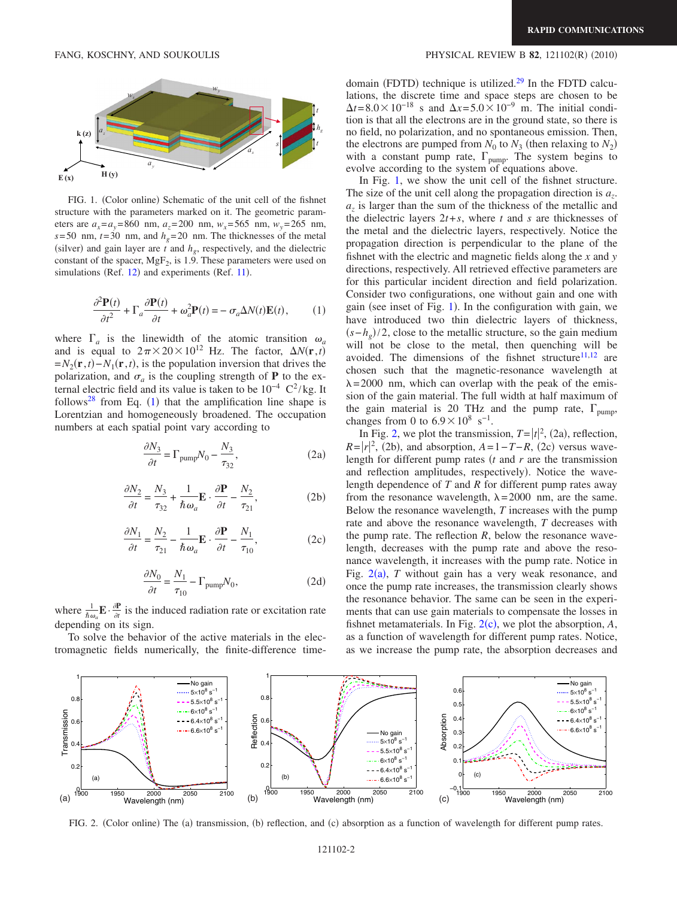<span id="page-1-1"></span>

FIG. 1. (Color online) Schematic of the unit cell of the fishnet structure with the parameters marked on it. The geometric parameters are  $a_x = a_y = 860$  nm,  $a_z = 200$  nm,  $w_x = 565$  nm,  $w_y = 265$  nm,  $s=$  50 nm,  $t=$  30 nm, and  $h<sub>g</sub>$  = 20 nm. The thicknesses of the metal (silver) and gain layer are  $t$  and  $h_g$ , respectively, and the dielectric constant of the spacer, MgF<sub>2</sub>, is 1.9. These parameters were used on simulations (Ref. [12](#page-3-8)) and experiments (Ref. [11](#page-3-7)).

<span id="page-1-0"></span>
$$
\frac{\partial^2 \mathbf{P}(t)}{\partial t^2} + \Gamma_a \frac{\partial \mathbf{P}(t)}{\partial t} + \omega_a^2 \mathbf{P}(t) = -\sigma_a \Delta N(t) \mathbf{E}(t),\tag{1}
$$

where  $\Gamma_a$  is the linewidth of the atomic transition  $\omega_a$ and is equal to  $2\pi \times 20 \times 10^{12}$  Hz. The factor,  $\Delta N(\mathbf{r},t)$  $=N_2(\mathbf{r},t) - N_1(\mathbf{r},t)$ , is the population inversion that drives the polarization, and  $\sigma_a$  is the coupling strength of **P** to the external electric field and its value is taken to be  $10^{-4} \text{ C}^2/\text{kg}$ . It follows<sup>[28](#page-3-17)</sup> from Eq. ([1](#page-1-0)) that the amplification line shape is Lorentzian and homogeneously broadened. The occupation numbers at each spatial point vary according to

$$
\frac{\partial N_3}{\partial t} = \Gamma_{\text{pump}} N_0 - \frac{N_3}{\tau_{32}},\tag{2a}
$$

$$
\frac{\partial N_2}{\partial t} = \frac{N_3}{\tau_{32}} + \frac{1}{\hbar \omega_a} \mathbf{E} \cdot \frac{\partial \mathbf{P}}{\partial t} - \frac{N_2}{\tau_{21}},\tag{2b}
$$

$$
\frac{\partial N_1}{\partial t} = \frac{N_2}{\tau_{21}} - \frac{1}{\hbar \omega_a} \mathbf{E} \cdot \frac{\partial \mathbf{P}}{\partial t} - \frac{N_1}{\tau_{10}},\tag{2c}
$$

$$
\frac{\partial N_0}{\partial t} = \frac{N_1}{\tau_{10}} - \Gamma_{\text{pump}} N_0,\tag{2d}
$$

where  $\frac{1}{\hbar \omega_a} \mathbf{E} \cdot \frac{\partial \mathbf{P}}{\partial t}$  is the induced radiation rate or excitation rate depending on its sign.

To solve the behavior of the active materials in the electromagnetic fields numerically, the finite-difference time-

## FANG, KOSCHNY, AND SOUKOULIS **EXECUTE:** PHYSICAL REVIEW B **82**, 121102(R) (2010)

domain (FDTD) technique is utilized.<sup>29</sup> In the FDTD calculations, the discrete time and space steps are chosen to be  $\Delta t = 8.0 \times 10^{-18}$  s and  $\Delta x = 5.0 \times 10^{-9}$  m. The initial condition is that all the electrons are in the ground state, so there is no field, no polarization, and no spontaneous emission. Then, the electrons are pumped from  $N_0$  to  $N_3$  (then relaxing to  $N_2$ ) with a constant pump rate,  $\Gamma_{\text{pump}}^{\text{v}}$ . The system begins to evolve according to the system of equations above.

In Fig. [1,](#page-1-1) we show the unit cell of the fishnet structure. The size of the unit cell along the propagation direction is  $a_{\tau}$ .  $a_z$  is larger than the sum of the thickness of the metallic and the dielectric layers  $2t + s$ , where *t* and *s* are thicknesses of the metal and the dielectric layers, respectively. Notice the propagation direction is perpendicular to the plane of the fishnet with the electric and magnetic fields along the *x* and *y* directions, respectively. All retrieved effective parameters are for this particular incident direction and field polarization. Consider two configurations, one without gain and one with gain (see inset of Fig. [1](#page-1-1)). In the configuration with gain, we have introduced two thin dielectric layers of thickness,  $(s-h<sub>g</sub>)/2$ , close to the metallic structure, so the gain medium will not be close to the metal, then quenching will be avoided. The dimensions of the fishnet structure $11,12$  $11,12$  are chosen such that the magnetic-resonance wavelength at  $\lambda = 2000$  nm, which can overlap with the peak of the emission of the gain material. The full width at half maximum of the gain material is 20 THz and the pump rate,  $\Gamma_{\text{pump}}$ , changes from 0 to  $6.9 \times 10^8$  s<sup>-1</sup>.

In Fig. [2,](#page-1-2) we plot the transmission,  $T = |t|^2$ , (2a), reflection,  $R = |r|^2$ , (2b), and absorption,  $A = 1 - T - R$ , (2c) versus wavelength for different pump rates *t* and *r* are the transmission and reflection amplitudes, respectively). Notice the wavelength dependence of *T* and *R* for different pump rates away from the resonance wavelength,  $\lambda = 2000$  nm, are the same. Below the resonance wavelength, *T* increases with the pump rate and above the resonance wavelength, *T* decreases with the pump rate. The reflection *R*, below the resonance wavelength, decreases with the pump rate and above the resonance wavelength, it increases with the pump rate. Notice in Fig.  $2(a)$  $2(a)$ , *T* without gain has a very weak resonance, and once the pump rate increases, the transmission clearly shows the resonance behavior. The same can be seen in the experiments that can use gain materials to compensate the losses in fishnet metamaterials. In Fig.  $2(c)$  $2(c)$ , we plot the absorption,  $A$ , as a function of wavelength for different pump rates. Notice, as we increase the pump rate, the absorption decreases and

<span id="page-1-2"></span>

FIG. 2. (Color online) The (a) transmission, (b) reflection, and (c) absorption as a function of wavelength for different pump rates.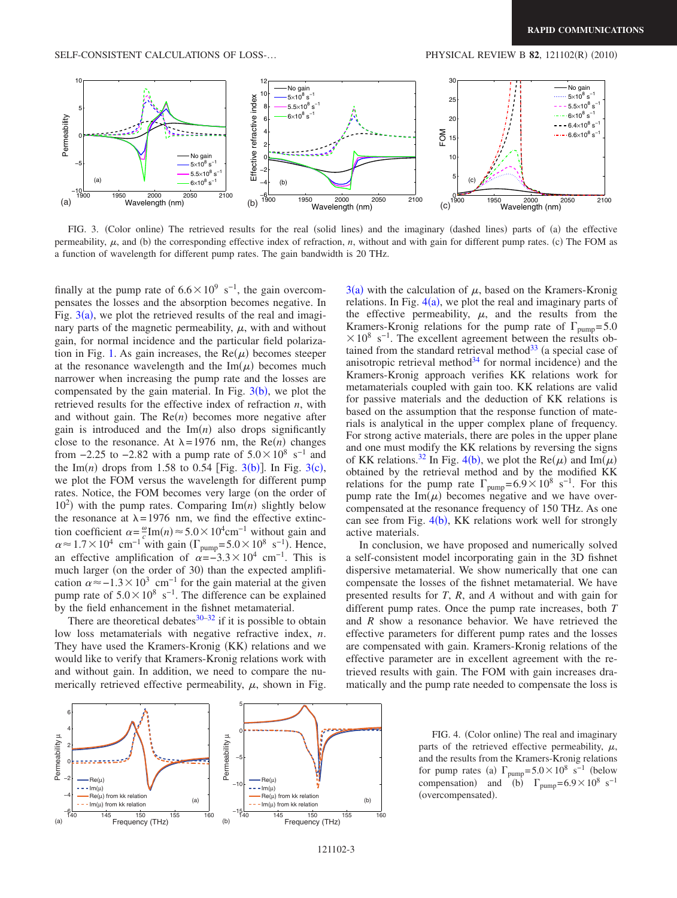<span id="page-2-0"></span>

FIG. 3. (Color online) The retrieved results for the real (solid lines) and the imaginary (dashed lines) parts of (a) the effective permeability,  $\mu$ , and (b) the corresponding effective index of refraction,  $n$ , without and with gain for different pump rates. (c) The FOM as a function of wavelength for different pump rates. The gain bandwidth is 20 THz.

finally at the pump rate of  $6.6\times10^9$  s<sup>-1</sup>, the gain overcompensates the losses and the absorption becomes negative. In Fig.  $3(a)$  $3(a)$ , we plot the retrieved results of the real and imaginary parts of the magnetic permeability,  $\mu$ , with and without gain, for normal incidence and the particular field polariza-tion in Fig. [1.](#page-1-1) As gain increases, the  $Re(\mu)$  becomes steeper at the resonance wavelength and the  $\text{Im}(\mu)$  becomes much narrower when increasing the pump rate and the losses are compensated by the gain material. In Fig.  $3(b)$  $3(b)$ , we plot the retrieved results for the effective index of refraction *n*, with and without gain. The  $Re(n)$  becomes more negative after gain is introduced and the  $Im(n)$  also drops significantly close to the resonance. At  $\lambda = 1976$  nm, the Re(*n*) changes from  $-2.25$  to  $-2.82$  with a pump rate of  $5.0 \times 10^8$  s<sup>-1</sup> and the Im(*n*) drops from 1.58 to 0.54 [Fig.  $3(b)$  $3(b)$ ]. In Fig.  $3(c)$ , we plot the FOM versus the wavelength for different pump rates. Notice, the FOM becomes very large (on the order of  $10<sup>2</sup>$ ) with the pump rates. Comparing Im(n) slightly below the resonance at  $\lambda = 1976$  nm, we find the effective extinction coefficient  $\alpha = \frac{\omega}{c}$ Im $(n) \approx 5.0 \times 10^4$ cm<sup>-1</sup> without gain and  $\alpha \approx 1.7 \times 10^4$  cm<sup>-1</sup> with gain ( $\Gamma_{\text{pump}} = 5.0 \times 10^8 \text{ s}^{-1}$ ). Hence, an effective amplification of  $\alpha = -3.3 \times 10^4$  cm<sup>-1</sup>. This is much larger (on the order of 30) than the expected amplification  $\alpha \approx -1.3 \times 10^3$  cm<sup>-1</sup> for the gain material at the given pump rate of  $5.0\times10^8$  s<sup>-1</sup>. The difference can be explained by the field enhancement in the fishnet metamaterial.

There are theoretical debates $30-32$  $30-32$  if it is possible to obtain low loss metamaterials with negative refractive index, *n*. They have used the Kramers-Kronig (KK) relations and we would like to verify that Kramers-Kronig relations work with and without gain. In addition, we need to compare the numerically retrieved effective permeability,  $\mu$ , shown in Fig.

 $3(a)$  $3(a)$  with the calculation of  $\mu$ , based on the Kramers-Kronig relations. In Fig.  $4(a)$  $4(a)$ , we plot the real and imaginary parts of the effective permeability,  $\mu$ , and the results from the Kramers-Kronig relations for the pump rate of  $\Gamma_{\text{numn}} = 5.0$  $\times$ 10<sup>8</sup> s<sup>-1</sup>. The excellent agreement between the results obtained from the standard retrieval method $33$  (a special case of anisotropic retrieval method<sup>34</sup> for normal incidence) and the Kramers-Kronig approach verifies KK relations work for metamaterials coupled with gain too. KK relations are valid for passive materials and the deduction of KK relations is based on the assumption that the response function of materials is analytical in the upper complex plane of frequency. For strong active materials, there are poles in the upper plane and one must modify the KK relations by reversing the signs of KK relations.<sup>32</sup> In Fig. [4](#page-2-1)(b), we plot the Re( $\mu$ ) and Im( $\mu$ ) obtained by the retrieval method and by the modified KK relations for the pump rate  $\Gamma_{\text{pump}} = 6.9 \times 10^8 \text{ s}^{-1}$ . For this pump rate the  $\text{Im}(\mu)$  becomes negative and we have overcompensated at the resonance frequency of 150 THz. As one can see from Fig.  $4(b)$  $4(b)$ , KK relations work well for strongly active materials.

In conclusion, we have proposed and numerically solved a self-consistent model incorporating gain in the 3D fishnet dispersive metamaterial. We show numerically that one can compensate the losses of the fishnet metamaterial. We have presented results for *T*, *R*, and *A* without and with gain for different pump rates. Once the pump rate increases, both *T* and *R* show a resonance behavior. We have retrieved the effective parameters for different pump rates and the losses are compensated with gain. Kramers-Kronig relations of the effective parameter are in excellent agreement with the retrieved results with gain. The FOM with gain increases dramatically and the pump rate needed to compensate the loss is

<span id="page-2-1"></span>

FIG. 4. (Color online) The real and imaginary parts of the retrieved effective permeability,  $\mu$ , and the results from the Kramers-Kronig relations for pump rates (a)  $\Gamma_{\text{pump}} = 5.0 \times 10^8 \text{ s}^{-1}$  (below compensation) and  $(b)$   $\Gamma_{\text{pump}} = 6.9 \times 10^8 \text{ s}^{-1}$ (overcompensated).